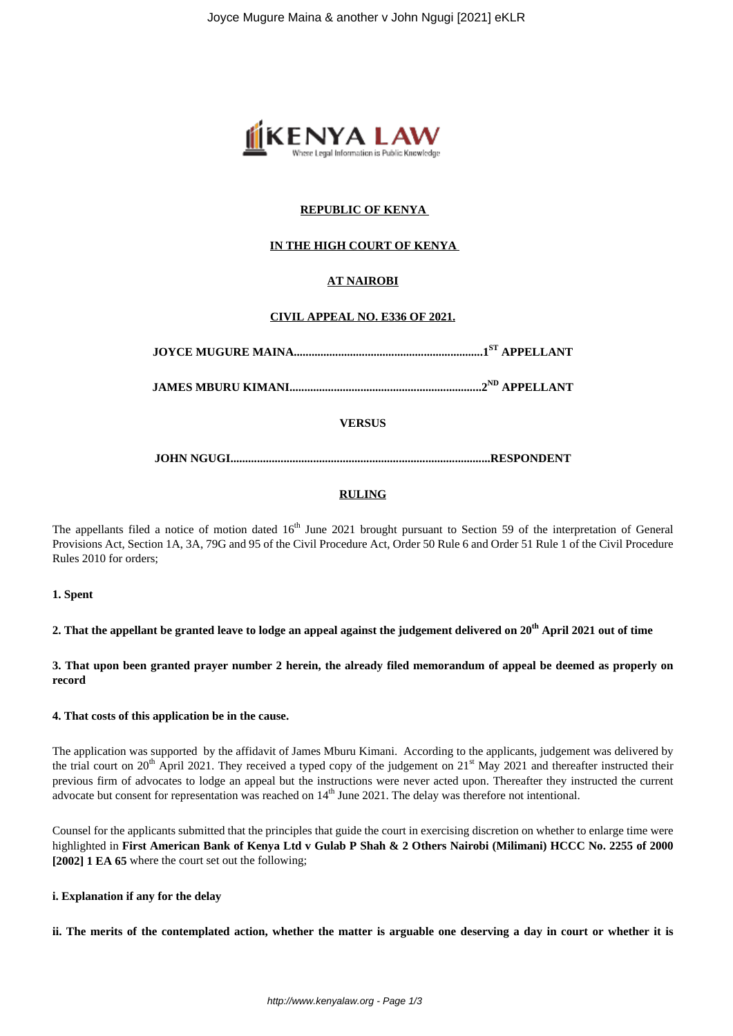

# **REPUBLIC OF KENYA**

# **IN THE HIGH COURT OF KENYA**

# **AT NAIROBI**

# **CIVIL APPEAL NO. E336 OF 2021.**

|--|--|

**JAMES MBURU KIMANI.................................................................2ND APPELLANT**

**VERSUS**

**JOHN NGUGI........................................................................................RESPONDENT**

#### **RULING**

The appellants filed a notice of motion dated 16<sup>th</sup> June 2021 brought pursuant to Section 59 of the interpretation of General Provisions Act, Section 1A, 3A, 79G and 95 of the Civil Procedure Act, Order 50 Rule 6 and Order 51 Rule 1 of the Civil Procedure Rules 2010 for orders;

#### **1. Spent**

**2. That the appellant be granted leave to lodge an appeal against the judgement delivered on 20th April 2021 out of time**

**3. That upon been granted prayer number 2 herein, the already filed memorandum of appeal be deemed as properly on record**

#### **4. That costs of this application be in the cause.**

The application was supported by the affidavit of James Mburu Kimani. According to the applicants, judgement was delivered by the trial court on  $20^{th}$  April 2021. They received a typed copy of the judgement on  $21^{st}$  May 2021 and thereafter instructed their previous firm of advocates to lodge an appeal but the instructions were never acted upon. Thereafter they instructed the current advocate but consent for representation was reached on  $14<sup>th</sup>$  June 2021. The delay was therefore not intentional.

Counsel for the applicants submitted that the principles that guide the court in exercising discretion on whether to enlarge time were highlighted in **First American Bank of Kenya Ltd v Gulab P Shah & 2 Others Nairobi (Milimani) HCCC No. 2255 of 2000 [2002] 1 EA 65** where the court set out the following;

#### **i. Explanation if any for the delay**

**ii. The merits of the contemplated action, whether the matter is arguable one deserving a day in court or whether it is**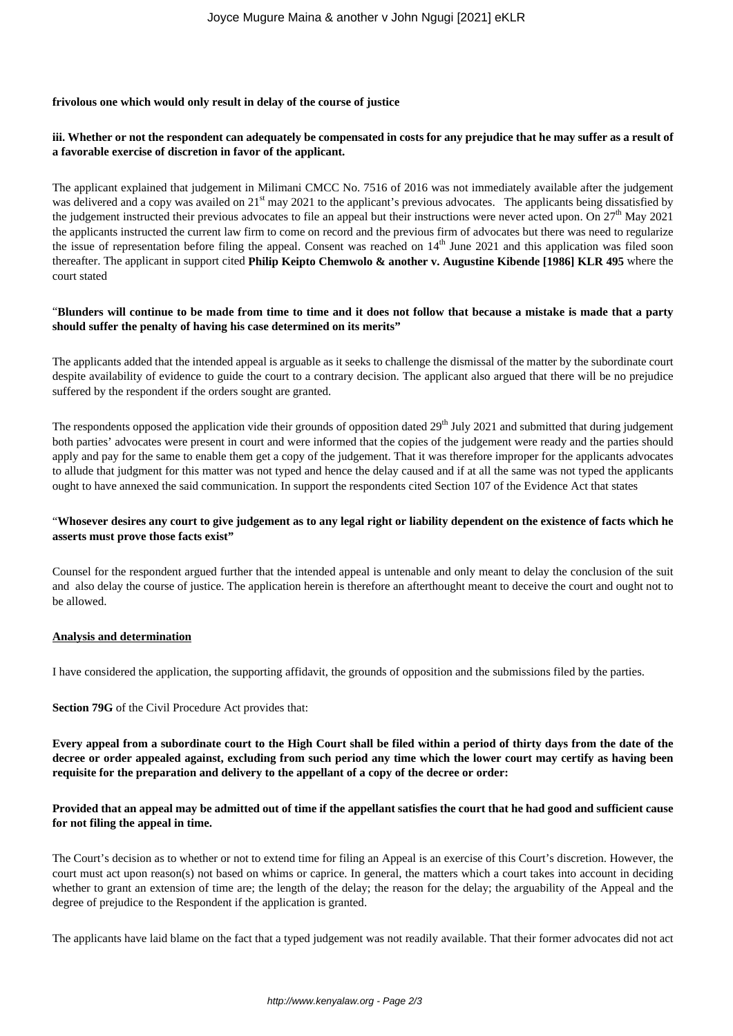### **frivolous one which would only result in delay of the course of justice**

# **iii. Whether or not the respondent can adequately be compensated in costs for any prejudice that he may suffer as a result of a favorable exercise of discretion in favor of the applicant.**

The applicant explained that judgement in Milimani CMCC No. 7516 of 2016 was not immediately available after the judgement was delivered and a copy was availed on 21<sup>st</sup> may 2021 to the applicant's previous advocates. The applicants being dissatisfied by the judgement instructed their previous advocates to file an appeal but their instructions were never acted upon. On  $27<sup>th</sup>$  May 2021 the applicants instructed the current law firm to come on record and the previous firm of advocates but there was need to regularize the issue of representation before filing the appeal. Consent was reached on  $14<sup>th</sup>$  June 2021 and this application was filed soon thereafter. The applicant in support cited **Philip Keipto Chemwolo & another v. Augustine Kibende [1986] KLR 495** where the court stated

### "**Blunders will continue to be made from time to time and it does not follow that because a mistake is made that a party should suffer the penalty of having his case determined on its merits"**

The applicants added that the intended appeal is arguable as it seeks to challenge the dismissal of the matter by the subordinate court despite availability of evidence to guide the court to a contrary decision. The applicant also argued that there will be no prejudice suffered by the respondent if the orders sought are granted.

The respondents opposed the application vide their grounds of opposition dated  $29<sup>th</sup>$  July 2021 and submitted that during judgement both parties' advocates were present in court and were informed that the copies of the judgement were ready and the parties should apply and pay for the same to enable them get a copy of the judgement. That it was therefore improper for the applicants advocates to allude that judgment for this matter was not typed and hence the delay caused and if at all the same was not typed the applicants ought to have annexed the said communication. In support the respondents cited Section 107 of the Evidence Act that states

# "**Whosever desires any court to give judgement as to any legal right or liability dependent on the existence of facts which he asserts must prove those facts exist"**

Counsel for the respondent argued further that the intended appeal is untenable and only meant to delay the conclusion of the suit and also delay the course of justice. The application herein is therefore an afterthought meant to deceive the court and ought not to be allowed.

#### **Analysis and determination**

I have considered the application, the supporting affidavit, the grounds of opposition and the submissions filed by the parties.

**Section 79G** of the Civil Procedure Act provides that:

**Every appeal from a subordinate court to the High Court shall be filed within a period of thirty days from the date of the decree or order appealed against, excluding from such period any time which the lower court may certify as having been requisite for the preparation and delivery to the appellant of a copy of the decree or order:**

# **Provided that an appeal may be admitted out of time if the appellant satisfies the court that he had good and sufficient cause for not filing the appeal in time.**

The Court's decision as to whether or not to extend time for filing an Appeal is an exercise of this Court's discretion. However, the court must act upon reason(s) not based on whims or caprice. In general, the matters which a court takes into account in deciding whether to grant an extension of time are; the length of the delay; the reason for the delay; the arguability of the Appeal and the degree of prejudice to the Respondent if the application is granted.

The applicants have laid blame on the fact that a typed judgement was not readily available. That their former advocates did not act